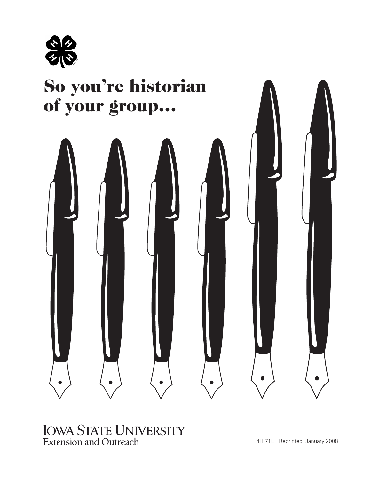

# So you're historian of your group…



#### IOWA STATE UNIVERSITY Extension and Outreach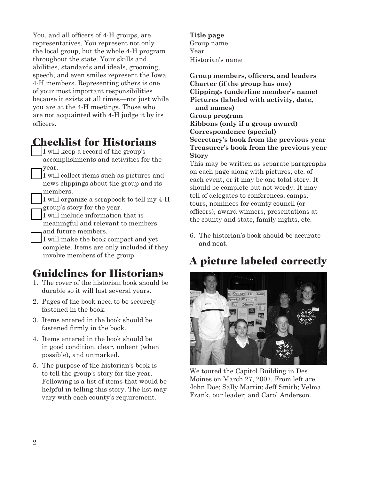You, and all officers of 4-H groups, are representatives. You represent not only the local group, but the whole 4-H program throughout the state. Your skills and abilities, standards and ideals, grooming, speech, and even smiles represent the Iowa 4-H members. Representing others is one of your most important responsibilities because it exists at all times—not just while you are at the 4-H meetings. Those who are not acquainted with 4-H judge it by its officers.

### Checklist for Historians

I will keep a record of the group's accomplishments and activities for the year.

I will collect items such as pictures and news clippings about the group and its members.

I will organize a scrapbook to tell my 4-H group's story for the year.

I will include information that is meaningful and relevant to members and future members.

\_\_ I will make the book compact and yet complete. Items are only included if they involve members of the group.

## Guidelines for Historians

- 1. The cover of the historian book should be durable so it will last several years.
- 2. Pages of the book need to be securely fastened in the book.
- 3. Items entered in the book should be fastened firmly in the book.
- 4. Items entered in the book should be in good condition, clear, unbent (when possible), and unmarked.
- 5. The purpose of the historian's book is to tell the group's story for the year. Following is a list of items that would be helpful in telling this story. The list may vary with each county's requirement.

**Title page** Group name Year Historian's name

**Group members, officers, and leaders Charter (if the group has one) Clippings (underline member's name) Pictures (labeled with activity, date, and names) Group program Ribbons (only if a group award) Correspondence (special) Secretary's book from the previous year Treasurer's book from the previous year Story**

This may be written as separate paragraphs on each page along with pictures, etc. of each event, or it may be one total story. It should be complete but not wordy. It may tell of delegates to conferences, camps, tours, nominees for county council (or officers), award winners, presentations at the county and state, family nights, etc.

6. The historian's book should be accurate and neat.

# A picture labeled correctly



We toured the Capitol Building in Des Moines on March 27, 2007. From left are John Doe; Sally Martin; Jeff Smith; Velma Frank, our leader; and Carol Anderson.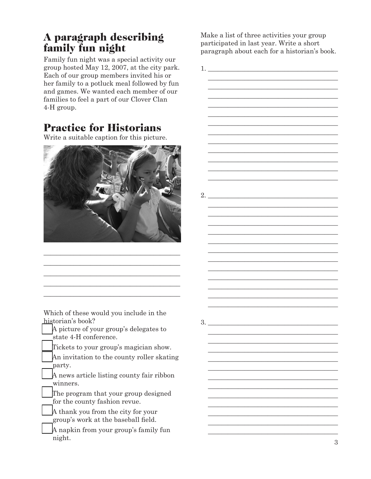### A paragraph describing family fun night

Family fun night was a special activity our group hosted May 12, 2007, at the city park. Each of our group members invited his or her family to a potluck meal followed by fun and games. We wanted each member of our families to feel a part of our Clover Clan 4-H group.

## Practice for Historians

Write a suitable caption for this picture.



\_\_\_\_\_\_\_\_\_\_\_\_\_\_\_\_\_\_\_\_\_\_\_\_\_\_\_\_\_\_\_\_\_\_\_\_\_\_\_\_\_ \_\_\_\_\_\_\_\_\_\_\_\_\_\_\_\_\_\_\_\_\_\_\_\_\_\_\_\_\_\_\_\_\_\_\_\_\_\_\_\_\_ \_\_\_\_\_\_\_\_\_\_\_\_\_\_\_\_\_\_\_\_\_\_\_\_\_\_\_\_\_\_\_\_\_\_\_\_\_\_\_\_\_ \_\_\_\_\_\_\_\_\_\_\_\_\_\_\_\_\_\_\_\_\_\_\_\_\_\_\_\_\_\_\_\_\_\_\_\_\_\_\_\_\_ \_\_\_\_\_\_\_\_\_\_\_\_\_\_\_\_\_\_\_\_\_\_\_\_\_\_\_\_\_\_\_\_\_\_\_\_\_\_\_\_\_

Which of these would you include in the historian's book?

\_\_ A picture of your group's delegates to state 4-H conference.

Tickets to your group's magician show.

An invitation to the county roller skating party.

A news article listing county fair ribbon winners.

The program that your group designed for the county fashion revue.

\_\_ A thank you from the city for your group's work at the baseball field.

\_\_ A napkin from your group's family fun night.

Make a list of three activities your group participated in last year. Write a short paragraph about each for a historian's book.

3 1. \_\_\_\_\_\_\_\_\_\_\_\_\_\_\_\_\_\_\_\_\_\_\_\_\_\_\_\_\_\_\_\_\_\_\_\_\_\_\_  $\overline{\phantom{a}}$  , and the set of the set of the set of the set of the set of the set of the set of the set of the set of the set of the set of the set of the set of the set of the set of the set of the set of the set of the s  $\overline{\phantom{a}}$  , and the set of the set of the set of the set of the set of the set of the set of the set of the set of the set of the set of the set of the set of the set of the set of the set of the set of the set of the s  $\overline{\phantom{a}}$  , and the set of the set of the set of the set of the set of the set of the set of the set of the set of the set of the set of the set of the set of the set of the set of the set of the set of the set of the s  $\overline{\phantom{a}}$  , and the set of the set of the set of the set of the set of the set of the set of the set of the set of the set of the set of the set of the set of the set of the set of the set of the set of the set of the s  $\overline{\phantom{a}}$  , and the set of the set of the set of the set of the set of the set of the set of the set of the set of the set of the set of the set of the set of the set of the set of the set of the set of the set of the s  $\overline{\phantom{a}}$  , and the set of the set of the set of the set of the set of the set of the set of the set of the set of the set of the set of the set of the set of the set of the set of the set of the set of the set of the s  $\overline{\phantom{a}}$  , and the set of the set of the set of the set of the set of the set of the set of the set of the set of the set of the set of the set of the set of the set of the set of the set of the set of the set of the s  $\overline{\phantom{a}}$  , and the set of the set of the set of the set of the set of the set of the set of the set of the set of the set of the set of the set of the set of the set of the set of the set of the set of the set of the s  $\overline{\phantom{a}}$  , and the set of the set of the set of the set of the set of the set of the set of the set of the set of the set of the set of the set of the set of the set of the set of the set of the set of the set of the s  $\overline{\phantom{a}}$  , and the set of the set of the set of the set of the set of the set of the set of the set of the set of the set of the set of the set of the set of the set of the set of the set of the set of the set of the s  $\overline{\phantom{a}}$  , and the set of the set of the set of the set of the set of the set of the set of the set of the set of the set of the set of the set of the set of the set of the set of the set of the set of the set of the s  $\overline{\phantom{a}}$  , and the set of the set of the set of the set of the set of the set of the set of the set of the set of the set of the set of the set of the set of the set of the set of the set of the set of the set of the s  $2.$   $\overline{\phantom{a}}$  $\overline{\phantom{a}}$  , and the set of the set of the set of the set of the set of the set of the set of the set of the set of the set of the set of the set of the set of the set of the set of the set of the set of the set of the s  $\overline{\phantom{a}}$  , and the set of the set of the set of the set of the set of the set of the set of the set of the set of the set of the set of the set of the set of the set of the set of the set of the set of the set of the s  $\overline{\phantom{a}}$  , and the set of the set of the set of the set of the set of the set of the set of the set of the set of the set of the set of the set of the set of the set of the set of the set of the set of the set of the s  $\overline{\phantom{a}}$  , and the set of the set of the set of the set of the set of the set of the set of the set of the set of the set of the set of the set of the set of the set of the set of the set of the set of the set of the s  $\overline{\phantom{a}}$  , and the set of the set of the set of the set of the set of the set of the set of the set of the set of the set of the set of the set of the set of the set of the set of the set of the set of the set of the s  $\mathcal{L}=\underbrace{\mathcal{L}=\mathcal{L}=\mathcal{L}=\mathcal{L}=\mathcal{L}=\mathcal{L}=\mathcal{L}=\mathcal{L}=\mathcal{L}=\mathcal{L}=\mathcal{L}=\mathcal{L}=\mathcal{L}=\mathcal{L}=\mathcal{L}=\mathcal{L}=\mathcal{L}=\mathcal{L}=\mathcal{L}=\mathcal{L}=\mathcal{L}=\mathcal{L}=\mathcal{L}=\mathcal{L}=\mathcal{L}=\mathcal{L}=\mathcal{L}=\mathcal{L}=\mathcal{L}=\mathcal{L}=\mathcal{L}=\mathcal{L}=\mathcal{L}=\mathcal{L}=\mathcal{L}=\$  $\mathcal{L}=\underbrace{\mathcal{L}=\mathcal{L}=\mathcal{L}=\mathcal{L}=\mathcal{L}=\mathcal{L}=\mathcal{L}=\mathcal{L}=\mathcal{L}=\mathcal{L}=\mathcal{L}=\mathcal{L}=\mathcal{L}=\mathcal{L}=\mathcal{L}=\mathcal{L}=\mathcal{L}=\mathcal{L}=\mathcal{L}=\mathcal{L}=\mathcal{L}=\mathcal{L}=\mathcal{L}=\mathcal{L}=\mathcal{L}=\mathcal{L}=\mathcal{L}=\mathcal{L}=\mathcal{L}=\mathcal{L}=\mathcal{L}=\mathcal{L}=\mathcal{L}=\mathcal{L}=\mathcal{L}=\$  $\mathcal{L}=\underbrace{\mathcal{L}=\mathcal{L}=\mathcal{L}=\mathcal{L}=\mathcal{L}=\mathcal{L}=\mathcal{L}=\mathcal{L}=\mathcal{L}=\mathcal{L}=\mathcal{L}=\mathcal{L}=\mathcal{L}=\mathcal{L}=\mathcal{L}=\mathcal{L}=\mathcal{L}=\mathcal{L}=\mathcal{L}=\mathcal{L}=\mathcal{L}=\mathcal{L}=\mathcal{L}=\mathcal{L}=\mathcal{L}=\mathcal{L}=\mathcal{L}=\mathcal{L}=\mathcal{L}=\mathcal{L}=\mathcal{L}=\mathcal{L}=\mathcal{L}=\mathcal{L}=\mathcal{L}=\$  $\mathcal{L}=\underbrace{\mathcal{L}=\mathcal{L}=\mathcal{L}=\mathcal{L}=\mathcal{L}=\mathcal{L}=\mathcal{L}=\mathcal{L}=\mathcal{L}=\mathcal{L}=\mathcal{L}=\mathcal{L}=\mathcal{L}=\mathcal{L}=\mathcal{L}=\mathcal{L}=\mathcal{L}=\mathcal{L}=\mathcal{L}=\mathcal{L}=\mathcal{L}=\mathcal{L}=\mathcal{L}=\mathcal{L}=\mathcal{L}=\mathcal{L}=\mathcal{L}=\mathcal{L}=\mathcal{L}=\mathcal{L}=\mathcal{L}=\mathcal{L}=\mathcal{L}=\mathcal{L}=\mathcal{L}=\$  $\mathcal{L}=\underbrace{\mathcal{L}=\mathcal{L}=\mathcal{L}=\mathcal{L}=\mathcal{L}=\mathcal{L}=\mathcal{L}=\mathcal{L}=\mathcal{L}=\mathcal{L}=\mathcal{L}=\mathcal{L}=\mathcal{L}=\mathcal{L}=\mathcal{L}=\mathcal{L}=\mathcal{L}=\mathcal{L}=\mathcal{L}=\mathcal{L}=\mathcal{L}=\mathcal{L}=\mathcal{L}=\mathcal{L}=\mathcal{L}=\mathcal{L}=\mathcal{L}=\mathcal{L}=\mathcal{L}=\mathcal{L}=\mathcal{L}=\mathcal{L}=\mathcal{L}=\mathcal{L}=\mathcal{L}=\$  $\mathcal{L}=\underbrace{\mathcal{L}=\mathcal{L}=\mathcal{L}=\mathcal{L}=\mathcal{L}=\mathcal{L}=\mathcal{L}=\mathcal{L}=\mathcal{L}=\mathcal{L}=\mathcal{L}=\mathcal{L}=\mathcal{L}=\mathcal{L}=\mathcal{L}=\mathcal{L}=\mathcal{L}=\mathcal{L}=\mathcal{L}=\mathcal{L}=\mathcal{L}=\mathcal{L}=\mathcal{L}=\mathcal{L}=\mathcal{L}=\mathcal{L}=\mathcal{L}=\mathcal{L}=\mathcal{L}=\mathcal{L}=\mathcal{L}=\mathcal{L}=\mathcal{L}=\mathcal{L}=\mathcal{L}=\$  $\mathcal{L}=\underbrace{\mathcal{L}=\mathcal{L}=\mathcal{L}=\mathcal{L}=\mathcal{L}=\mathcal{L}=\mathcal{L}=\mathcal{L}=\mathcal{L}=\mathcal{L}=\mathcal{L}=\mathcal{L}=\mathcal{L}=\mathcal{L}=\mathcal{L}=\mathcal{L}=\mathcal{L}=\mathcal{L}=\mathcal{L}=\mathcal{L}=\mathcal{L}=\mathcal{L}=\mathcal{L}=\mathcal{L}=\mathcal{L}=\mathcal{L}=\mathcal{L}=\mathcal{L}=\mathcal{L}=\mathcal{L}=\mathcal{L}=\mathcal{L}=\mathcal{L}=\mathcal{L}=\mathcal{L}=\$  $3.$   $\overline{\phantom{a}}$  $\mathcal{L}=\underbrace{\mathcal{L}=\mathcal{L}=\mathcal{L}=\mathcal{L}=\mathcal{L}=\mathcal{L}=\mathcal{L}=\mathcal{L}=\mathcal{L}=\mathcal{L}=\mathcal{L}=\mathcal{L}=\mathcal{L}=\mathcal{L}=\mathcal{L}=\mathcal{L}=\mathcal{L}=\mathcal{L}=\mathcal{L}=\mathcal{L}=\mathcal{L}=\mathcal{L}=\mathcal{L}=\mathcal{L}=\mathcal{L}=\mathcal{L}=\mathcal{L}=\mathcal{L}=\mathcal{L}=\mathcal{L}=\mathcal{L}=\mathcal{L}=\mathcal{L}=\mathcal{L}=\mathcal{L}=\$  $\mathcal{L}=\underbrace{\mathcal{L}=\mathcal{L}=\mathcal{L}=\mathcal{L}=\mathcal{L}=\mathcal{L}=\mathcal{L}=\mathcal{L}=\mathcal{L}=\mathcal{L}=\mathcal{L}=\mathcal{L}=\mathcal{L}=\mathcal{L}=\mathcal{L}=\mathcal{L}=\mathcal{L}=\mathcal{L}=\mathcal{L}=\mathcal{L}=\mathcal{L}=\mathcal{L}=\mathcal{L}=\mathcal{L}=\mathcal{L}=\mathcal{L}=\mathcal{L}=\mathcal{L}=\mathcal{L}=\mathcal{L}=\mathcal{L}=\mathcal{L}=\mathcal{L}=\mathcal{L}=\mathcal{L}=\$  $\mathcal{L}=\underbrace{\mathcal{L}=\mathcal{L}=\mathcal{L}=\mathcal{L}=\mathcal{L}=\mathcal{L}=\mathcal{L}=\mathcal{L}=\mathcal{L}=\mathcal{L}=\mathcal{L}=\mathcal{L}=\mathcal{L}=\mathcal{L}=\mathcal{L}=\mathcal{L}=\mathcal{L}=\mathcal{L}=\mathcal{L}=\mathcal{L}=\mathcal{L}=\mathcal{L}=\mathcal{L}=\mathcal{L}=\mathcal{L}=\mathcal{L}=\mathcal{L}=\mathcal{L}=\mathcal{L}=\mathcal{L}=\mathcal{L}=\mathcal{L}=\mathcal{L}=\mathcal{L}=\mathcal{L}=\$  $\mathcal{L}=\underbrace{\mathcal{L}=\mathcal{L}=\mathcal{L}=\mathcal{L}=\mathcal{L}=\mathcal{L}=\mathcal{L}=\mathcal{L}=\mathcal{L}=\mathcal{L}=\mathcal{L}=\mathcal{L}=\mathcal{L}=\mathcal{L}=\mathcal{L}=\mathcal{L}=\mathcal{L}=\mathcal{L}=\mathcal{L}=\mathcal{L}=\mathcal{L}=\mathcal{L}=\mathcal{L}=\mathcal{L}=\mathcal{L}=\mathcal{L}=\mathcal{L}=\mathcal{L}=\mathcal{L}=\mathcal{L}=\mathcal{L}=\mathcal{L}=\mathcal{L}=\mathcal{L}=\mathcal{L}=\$  $\mathcal{L}=\underbrace{\mathcal{L}=\mathcal{L}=\mathcal{L}=\mathcal{L}=\mathcal{L}=\mathcal{L}=\mathcal{L}=\mathcal{L}=\mathcal{L}=\mathcal{L}=\mathcal{L}=\mathcal{L}=\mathcal{L}=\mathcal{L}=\mathcal{L}=\mathcal{L}=\mathcal{L}=\mathcal{L}=\mathcal{L}=\mathcal{L}=\mathcal{L}=\mathcal{L}=\mathcal{L}=\mathcal{L}=\mathcal{L}=\mathcal{L}=\mathcal{L}=\mathcal{L}=\mathcal{L}=\mathcal{L}=\mathcal{L}=\mathcal{L}=\mathcal{L}=\mathcal{L}=\mathcal{L}=\$  $\mathcal{L}=\underbrace{\mathcal{L}=\mathcal{L}=\mathcal{L}=\mathcal{L}=\mathcal{L}=\mathcal{L}=\mathcal{L}=\mathcal{L}=\mathcal{L}=\mathcal{L}=\mathcal{L}=\mathcal{L}=\mathcal{L}=\mathcal{L}=\mathcal{L}=\mathcal{L}=\mathcal{L}=\mathcal{L}=\mathcal{L}=\mathcal{L}=\mathcal{L}=\mathcal{L}=\mathcal{L}=\mathcal{L}=\mathcal{L}=\mathcal{L}=\mathcal{L}=\mathcal{L}=\mathcal{L}=\mathcal{L}=\mathcal{L}=\mathcal{L}=\mathcal{L}=\mathcal{L}=\mathcal{L}=\$  $\mathcal{L}=\underbrace{\mathcal{L}=\mathcal{L}=\mathcal{L}=\mathcal{L}=\mathcal{L}=\mathcal{L}=\mathcal{L}=\mathcal{L}=\mathcal{L}=\mathcal{L}=\mathcal{L}=\mathcal{L}=\mathcal{L}=\mathcal{L}=\mathcal{L}=\mathcal{L}=\mathcal{L}=\mathcal{L}=\mathcal{L}=\mathcal{L}=\mathcal{L}=\mathcal{L}=\mathcal{L}=\mathcal{L}=\mathcal{L}=\mathcal{L}=\mathcal{L}=\mathcal{L}=\mathcal{L}=\mathcal{L}=\mathcal{L}=\mathcal{L}=\mathcal{L}=\mathcal{L}=\mathcal{L}=\$  $\mathcal{L}=\underbrace{\mathcal{L}=\mathcal{L}=\mathcal{L}=\mathcal{L}=\mathcal{L}=\mathcal{L}=\mathcal{L}=\mathcal{L}=\mathcal{L}=\mathcal{L}=\mathcal{L}=\mathcal{L}=\mathcal{L}=\mathcal{L}=\mathcal{L}=\mathcal{L}=\mathcal{L}=\mathcal{L}=\mathcal{L}=\mathcal{L}=\mathcal{L}=\mathcal{L}=\mathcal{L}=\mathcal{L}=\mathcal{L}=\mathcal{L}=\mathcal{L}=\mathcal{L}=\mathcal{L}=\mathcal{L}=\mathcal{L}=\mathcal{L}=\mathcal{L}=\mathcal{L}=\mathcal{L}=\$  $\mathcal{L}=\underbrace{\mathcal{L}=\mathcal{L}=\mathcal{L}=\mathcal{L}=\mathcal{L}=\mathcal{L}=\mathcal{L}=\mathcal{L}=\mathcal{L}=\mathcal{L}=\mathcal{L}=\mathcal{L}=\mathcal{L}=\mathcal{L}=\mathcal{L}=\mathcal{L}=\mathcal{L}=\mathcal{L}=\mathcal{L}=\mathcal{L}=\mathcal{L}=\mathcal{L}=\mathcal{L}=\mathcal{L}=\mathcal{L}=\mathcal{L}=\mathcal{L}=\mathcal{L}=\mathcal{L}=\mathcal{L}=\mathcal{L}=\mathcal{L}=\mathcal{L}=\mathcal{L}=\mathcal{L}=\$  $\mathcal{L}=\underbrace{\mathcal{L}=\mathcal{L}=\mathcal{L}=\mathcal{L}=\mathcal{L}=\mathcal{L}=\mathcal{L}=\mathcal{L}=\mathcal{L}=\mathcal{L}=\mathcal{L}=\mathcal{L}=\mathcal{L}=\mathcal{L}=\mathcal{L}=\mathcal{L}=\mathcal{L}=\mathcal{L}=\mathcal{L}=\mathcal{L}=\mathcal{L}=\mathcal{L}=\mathcal{L}=\mathcal{L}=\mathcal{L}=\mathcal{L}=\mathcal{L}=\mathcal{L}=\mathcal{L}=\mathcal{L}=\mathcal{L}=\mathcal{L}=\mathcal{L}=\mathcal{L}=\mathcal{L}=\$  $\mathcal{L}=\underbrace{\mathcal{L}=\mathcal{L}=\mathcal{L}=\mathcal{L}=\mathcal{L}=\mathcal{L}=\mathcal{L}=\mathcal{L}=\mathcal{L}=\mathcal{L}=\mathcal{L}=\mathcal{L}=\mathcal{L}=\mathcal{L}=\mathcal{L}=\mathcal{L}=\mathcal{L}=\mathcal{L}=\mathcal{L}=\mathcal{L}=\mathcal{L}=\mathcal{L}=\mathcal{L}=\mathcal{L}=\mathcal{L}=\mathcal{L}=\mathcal{L}=\mathcal{L}=\mathcal{L}=\mathcal{L}=\mathcal{L}=\mathcal{L}=\mathcal{L}=\mathcal{L}=\mathcal{L}=\$  $\mathcal{L}=\underbrace{\mathcal{L}=\mathcal{L}=\mathcal{L}=\mathcal{L}=\mathcal{L}=\mathcal{L}=\mathcal{L}=\mathcal{L}=\mathcal{L}=\mathcal{L}=\mathcal{L}=\mathcal{L}=\mathcal{L}=\mathcal{L}=\mathcal{L}=\mathcal{L}=\mathcal{L}=\mathcal{L}=\mathcal{L}=\mathcal{L}=\mathcal{L}=\mathcal{L}=\mathcal{L}=\mathcal{L}=\mathcal{L}=\mathcal{L}=\mathcal{L}=\mathcal{L}=\mathcal{L}=\mathcal{L}=\mathcal{L}=\mathcal{L}=\mathcal{L}=\mathcal{L}=\mathcal{L}=\$